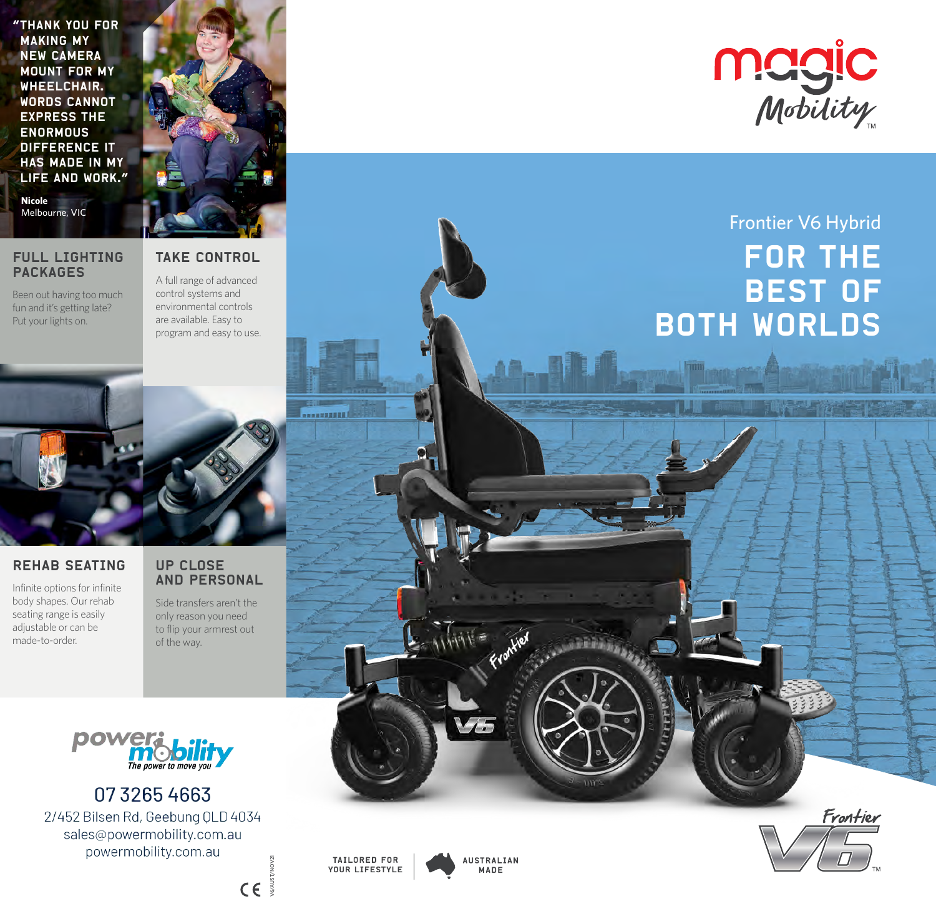"Thank you for making my new camera mount for my WHEELCHAIR. Words cannot express the **ENORMOUS** difference it HAS MADE IN MY life and work."



**Nicole**<br>Melbourne, VIC

## FULL LIGHTING PACKAGES

A full range of advanced

Been out having too much fun and it's getting late? Put your lights on.

TAKE CONTROL

control systems and environmental controls are available. Easy to program and easy to use.



# REHAB SEATING

Infinite options for infinite body shapes. Our rehab seating range is easily adjustable or can be made-to-order.

## UP CLOSE AND PERSONAL

Side transfers aren't the only reason you need to flip your armrest out of the way.



0732654663 2/452 Bilsen Rd, Geebung QLD 4034 sales@powermobility.com.au powermobility.com.au



# Frontier V6 Hybrid For the **BEST OF** both worlds

TAILORED FOR YOUR LIFESTYLE

...........

V6/AUST/NOV21

 $C \in \mathbb{R}$ 



**AUSTRALIAN** MADE